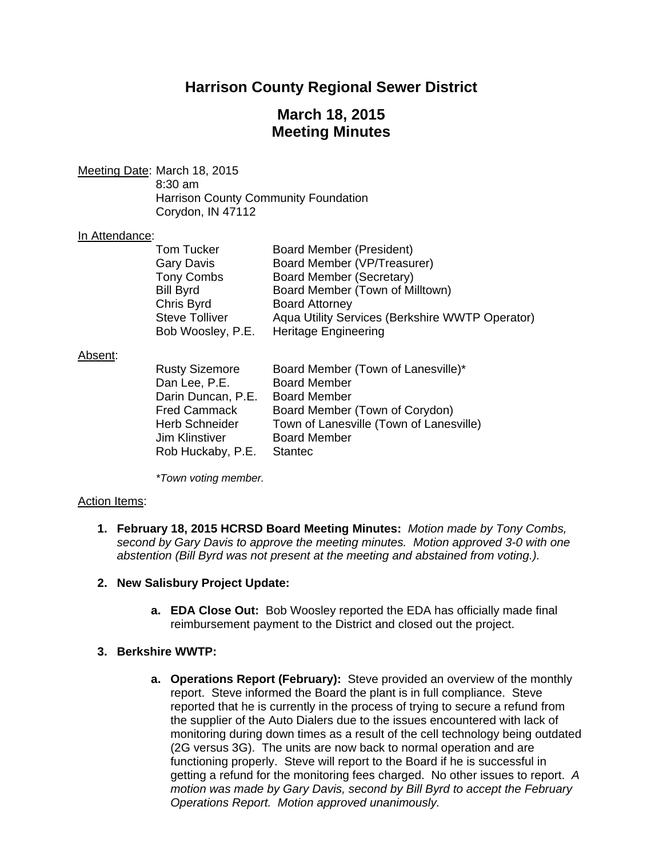# **Harrison County Regional Sewer District**

# **March 18, 2015 Meeting Minutes**

Meeting Date: March 18, 2015

 8:30 am Harrison County Community Foundation Corydon, IN 47112

#### In Attendance:

| <b>Tom Tucker</b>     | Board Member (President)                        |
|-----------------------|-------------------------------------------------|
| <b>Gary Davis</b>     | Board Member (VP/Treasurer)                     |
| <b>Tony Combs</b>     | Board Member (Secretary)                        |
| <b>Bill Byrd</b>      | Board Member (Town of Milltown)                 |
| Chris Byrd            | <b>Board Attorney</b>                           |
| <b>Steve Tolliver</b> | Aqua Utility Services (Berkshire WWTP Operator) |
| Bob Woosley, P.E.     | <b>Heritage Engineering</b>                     |

#### Absent:

| <b>Rusty Sizemore</b> | Board Member (Town of Lanesville)*      |
|-----------------------|-----------------------------------------|
| Dan Lee, P.E.         | <b>Board Member</b>                     |
| Darin Duncan, P.E.    | <b>Board Member</b>                     |
| <b>Fred Cammack</b>   | Board Member (Town of Corydon)          |
| <b>Herb Schneider</b> | Town of Lanesville (Town of Lanesville) |
| <b>Jim Klinstiver</b> | <b>Board Member</b>                     |
| Rob Huckaby, P.E.     | <b>Stantec</b>                          |

 *\*Town voting member.* 

#### Action Items:

**1. February 18, 2015 HCRSD Board Meeting Minutes:** *Motion made by Tony Combs, second by Gary Davis to approve the meeting minutes. Motion approved 3-0 with one abstention (Bill Byrd was not present at the meeting and abstained from voting.).*

#### **2. New Salisbury Project Update:**

**a. EDA Close Out:** Bob Woosley reported the EDA has officially made final reimbursement payment to the District and closed out the project.

### **3. Berkshire WWTP:**

**a. Operations Report (February):** Steve provided an overview of the monthly report. Steve informed the Board the plant is in full compliance. Steve reported that he is currently in the process of trying to secure a refund from the supplier of the Auto Dialers due to the issues encountered with lack of monitoring during down times as a result of the cell technology being outdated (2G versus 3G). The units are now back to normal operation and are functioning properly. Steve will report to the Board if he is successful in getting a refund for the monitoring fees charged. No other issues to report. *A motion was made by Gary Davis, second by Bill Byrd to accept the February Operations Report. Motion approved unanimously.*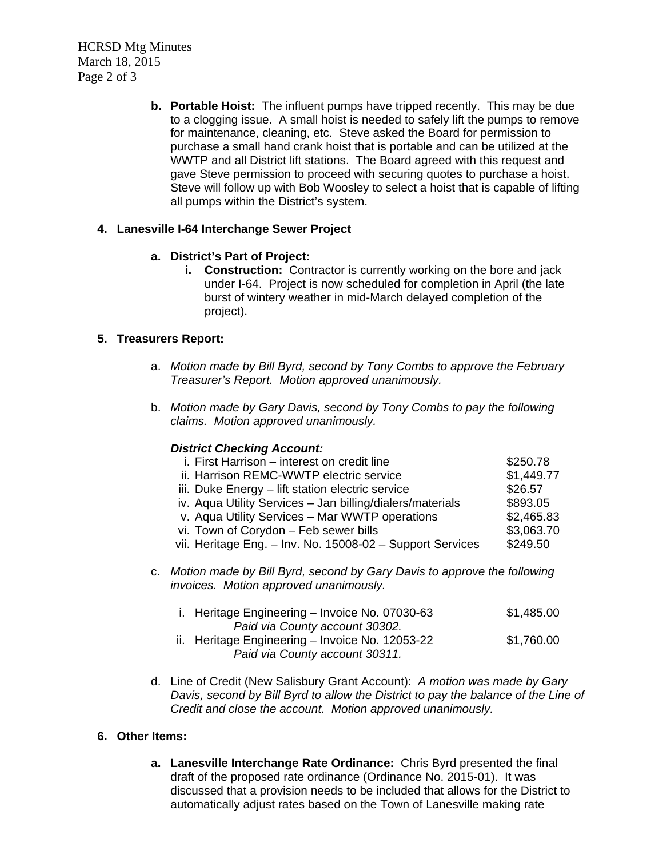HCRSD Mtg Minutes March 18, 2015 Page 2 of 3

> **b. Portable Hoist:** The influent pumps have tripped recently. This may be due to a clogging issue. A small hoist is needed to safely lift the pumps to remove for maintenance, cleaning, etc. Steve asked the Board for permission to purchase a small hand crank hoist that is portable and can be utilized at the WWTP and all District lift stations. The Board agreed with this request and gave Steve permission to proceed with securing quotes to purchase a hoist. Steve will follow up with Bob Woosley to select a hoist that is capable of lifting all pumps within the District's system.

## **4. Lanesville I-64 Interchange Sewer Project**

## **a. District's Part of Project:**

**i.** Construction: Contractor is currently working on the bore and jack under I-64. Project is now scheduled for completion in April (the late burst of wintery weather in mid-March delayed completion of the project).

## **5. Treasurers Report:**

- a. *Motion made by Bill Byrd, second by Tony Combs to approve the February Treasurer's Report. Motion approved unanimously.*
- b. *Motion made by Gary Davis, second by Tony Combs to pay the following claims. Motion approved unanimously.*

#### *District Checking Account:*

| i. First Harrison – interest on credit line               | \$250.78   |
|-----------------------------------------------------------|------------|
| ii. Harrison REMC-WWTP electric service                   | \$1,449.77 |
| iii. Duke Energy - lift station electric service          | \$26.57    |
| iv. Aqua Utility Services - Jan billing/dialers/materials | \$893.05   |
| v. Aqua Utility Services - Mar WWTP operations            | \$2,465.83 |
| vi. Town of Corydon - Feb sewer bills                     | \$3,063.70 |
| vii. Heritage Eng. - Inv. No. 15008-02 - Support Services | \$249.50   |
|                                                           |            |

c. *Motion made by Bill Byrd, second by Gary Davis to approve the following invoices. Motion approved unanimously.* 

| i. Heritage Engineering - Invoice No. 07030-63  | \$1,485.00 |
|-------------------------------------------------|------------|
| Paid via County account 30302.                  |            |
| ii. Heritage Engineering - Invoice No. 12053-22 | \$1,760.00 |
| Paid via County account 30311.                  |            |

d. Line of Credit (New Salisbury Grant Account): *A motion was made by Gary Davis, second by Bill Byrd to allow the District to pay the balance of the Line of Credit and close the account. Motion approved unanimously.* 

## **6. Other Items:**

**a. Lanesville Interchange Rate Ordinance:** Chris Byrd presented the final draft of the proposed rate ordinance (Ordinance No. 2015-01). It was discussed that a provision needs to be included that allows for the District to automatically adjust rates based on the Town of Lanesville making rate